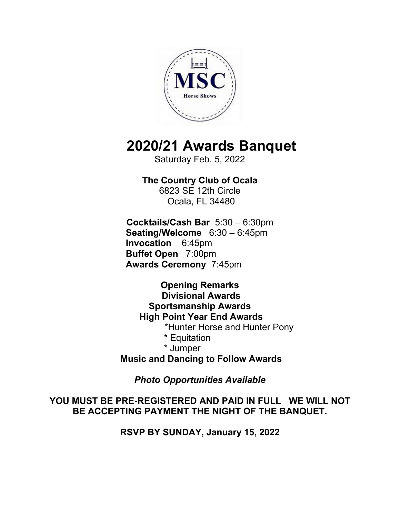

## **2020/21 Awards Banquet**

Saturday Feb. 5, 2022

**The Country Club of Ocala**  6823 SE 12th Circle Ocala, FL 34480

**Cocktails/Cash Bar** 5:30 – 6:30pm **Seating/Welcome** 6:30 – 6:45pm  **Invocation** 6:45pm **Buffet Open** 7:00pm **Awards Ceremony** 7:45pm

**Opening Remarks Divisional Awards Sportsmanship Awards High Point Year End Awards** \*Hunter Horse and Hunter Pony \* Equitation \* Jumper **Music and Dancing to Follow Awards** 

*Photo Opportunities Available* 

**YOU MUST BE PRE-REGISTERED AND PAID IN FULL WE WILL NOT BE ACCEPTING PAYMENT THE NIGHT OF THE BANQUET.** 

**RSVP BY SUNDAY, January 15, 2022**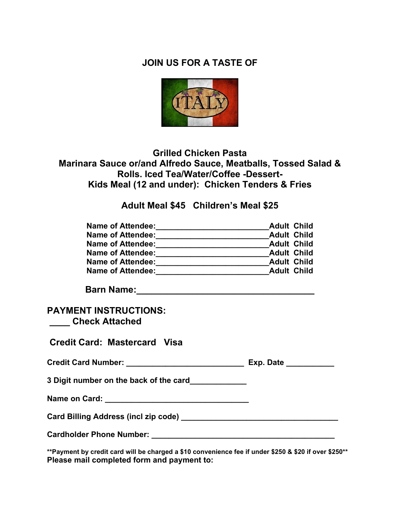## **JOIN US FOR A TASTE OF**



## **Grilled Chicken Pasta Marinara Sauce or/and Alfredo Sauce, Meatballs, Tossed Salad & Rolls. Iced Tea/Water/Coffee -Dessert-Kids Meal (12 and under): Chicken Tenders & Fries**

**Adult Meal \$45 Children's Meal \$25** 

| <b>Name of Attendee:</b> | <b>Adult Child</b> |
|--------------------------|--------------------|
| <b>Name of Attendee:</b> | <b>Adult Child</b> |
| <b>Name of Attendee:</b> | <b>Adult Child</b> |
| <b>Name of Attendee:</b> | <b>Adult Child</b> |
| <b>Name of Attendee:</b> | <b>Adult Child</b> |
| <b>Name of Attendee:</b> | <b>Adult Child</b> |

**Barn Name:** 2008. 2008. 2019. 2019. 2019. 2019. 2019. 2019. 2019. 2019. 2019. 2019. 2019. 2019. 2019. 2019. 2019. 2019. 2019. 2019. 2019. 2019. 2019. 2019. 2019. 2019. 2019. 2019. 2019. 2019. 2019. 2019. 2019. 2019. 2019.

## **PAYMENT INSTRUCTIONS: \_\_\_\_ Check Attached**

**Credit Card: Mastercard Visa**

| <b>Credit Card Number:</b> | Exp. Date |
|----------------------------|-----------|
|                            |           |

**3 Digit number on the back of the card\_\_\_\_\_\_\_\_\_\_\_\_\_** 

**Name on Card: \_\_\_\_\_\_\_\_\_\_\_\_\_\_\_\_\_\_\_\_\_\_\_\_\_\_\_\_\_\_\_\_\_** 

**Card Billing Address (incl zip code) \_\_\_\_\_\_\_\_\_\_\_\_\_\_\_\_\_\_\_\_\_\_\_\_\_\_\_\_\_\_\_\_\_\_\_\_** 

**Cardholder Phone Number: \_\_\_\_\_\_\_\_\_\_\_\_\_\_\_\_\_\_\_\_\_\_\_\_\_\_\_\_\_\_\_\_\_\_\_\_\_\_\_\_\_\_** 

**\*\*Payment by credit card will be charged a \$10 convenience fee if under \$250 & \$20 if over \$250\*\* Please mail completed form and payment to:**